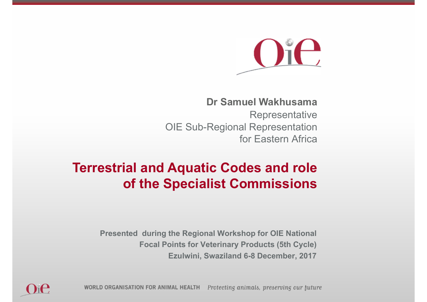

#### **Dr Samuel WakhusamaRepresentative** OIE Sub-Regional Representation for Eastern Africa

#### **Terrestrial and Aquatic Codes and role of the Specialist Commissions**

**Presented during the Regional Workshop for OIE National Focal Points for Veterinary Products (5th Cycle) Ezulwini, Swaziland 6-8 December, 2017**

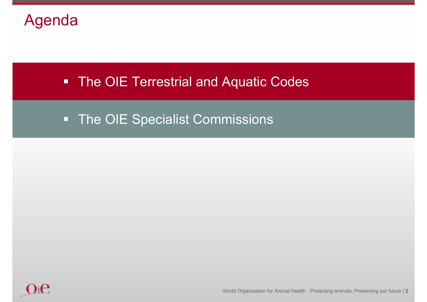

#### **The OIE Terrestrial and Aquatic Codes**

#### **The OIE Specialist Commissions**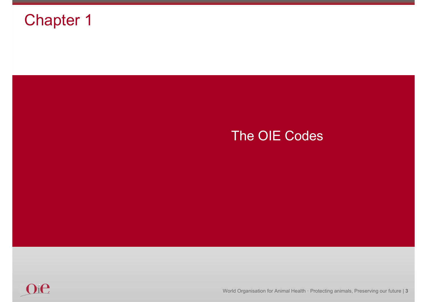## Chapter 1

#### The OIE Codes



World Organisation for Animal Health · Protecting animals, Preserving our future | **3**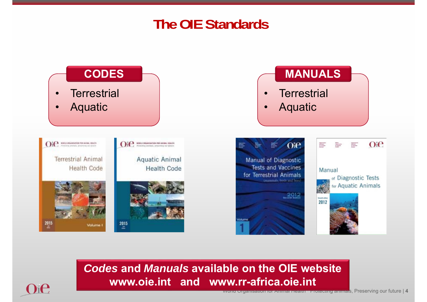### **The OIE Standards**



#### *Codes* **and** *Manuals* **available on the OIE website www.oie.int and www.rr-africa.oie.int**

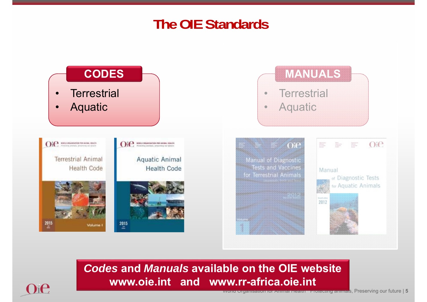### **The OIE Standards**



#### *Codes* **and** *Manuals* **available on the OIE website www.oie.int and www.rr-africa.oie.int**

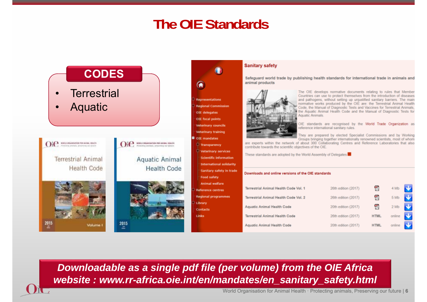### **The OIE Standards**



#### **Sanitary safety**

Safeguard world trade by publishing health standards for international trade in animals and animal products



The OIE develops normative documents relating to rules that Member Countries can use to protect themselves from the introduction of diseases and pathogens, without setting up unjustified sanitary barriers. The main normative works produced by the OIE are: the Terrestrial Animal Health Code, the Manual of Diagnostic Tests and Vaccines for Terrestrial Animals. the Aquatic Animal Health Code and the Manual of Diagnostic Tests for **Aquatic Animals** 

OIE standards are recognised by the World Trade Organization as reference international sanitary rules

They are prepared by elected Specialist Commissions and by Working Groups bringing together internationally renowned scientists, most of whom

are experts within the network of about 300 Collaborating Centres and Reference Laboratories that also contribute towards the scientific objectives of the OIE.

These standards are adopted by the World Assembly of Delegates

#### Downloads and online versions of the OIE standards

| Terrestrial Animal Health Code Vol. 1 | 26th edition (2017) | 饲           | 4 Mb   |  |
|---------------------------------------|---------------------|-------------|--------|--|
| Terrestrial Animal Health Code Vol. 2 | 26th edition (2017) | 司           | 5 Mb   |  |
| Aquatic Animal Health Code            | 20th edition (2017) | 뒌           | 2 Mb   |  |
| Terrestrial Animal Health Code        | 26th edition (2017) | <b>HTML</b> | online |  |
| Aquatic Animal Health Code            | 20th edition (2017) | <b>HTML</b> | online |  |

*Downloadable as a single pdf file (per volume) from the OIE Africa website : www.rr-africa.oie.int/en/mandates/en\_sanitary\_safety.html*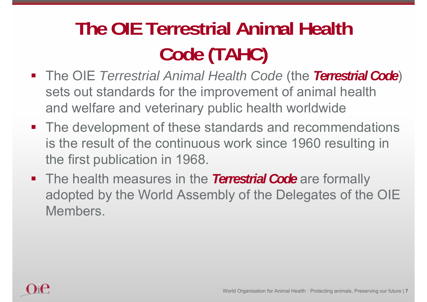# **The OIE Terrestrial Animal Health Code (TAHC)**

- The OIE *Terrestrial Animal Health Code* (the *Terrestrial Code*) sets out standards for the improvement of animal health and welfare and veterinary public health worldwide
- **The development of these standards and recommendations** is the result of the continuous work since 1960 resulting in the first publication in 1968.
- **The health measures in the** *Terrestrial Code* **are formally** adopted by the World Assembly of the Delegates of the OIE Members.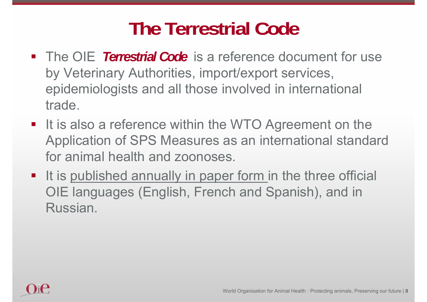## **The Terrestrial Code**

- The OIE *Terrestrial Code* is a reference document for use by Veterinary Authorities, import/export services, epidemiologists and all those involved in international trade.
- It is also a reference within the WTO Agreement on the Application of SPS Measures as an international standard for animal health and zoonoses.
- If is published annually in paper form in the three official OIE languages (English, French and Spanish), and in Russian.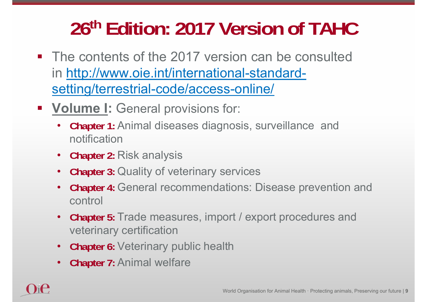# **26th Edition: 2017 Version of TAHC**

- **The contents of the 2017 version can be consulted** in <u>http://www.oie.int/international-standard-</u> setting/terrestrial-code/access-online/
- **Volume I:** General provisions for:
	- • **Chapter 1:** Animal diseases diagnosis, surveillance and notification
	- •**Chapter 2:** Risk analysis
	- •**Chapter 3: Quality of veterinary services**
	- • **Chapter 4:** General recommendations: Disease prevention and control
	- • **Chapter 5:** Trade measures, import / export procedures and veterinary certification
	- •**Chapter 6: Veterinary public health**
	- •**Chapter 7:** Animal welfare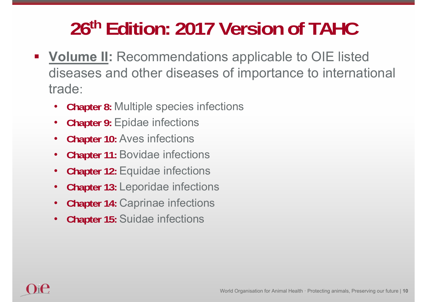## **26th Edition: 2017 Version of TAHC**

- **Volume II:** Recommendations applicable to OIE listed diseases and other diseases of importance to international trade:
	- •**Chapter 8:** Multiple species infections
	- $\bullet$ **Chapter 9:** Epidae infections
	- •**Chapter 10:** Aves infections
	- •**Chapter 11:** Bovidae infections
	- •**Chapter 12:** Equidae infections
	- •**Chapter 13:** Leporidae infections
	- •**Chapter 14:** Caprinae infections
	- •**Chapter 15:** Suidae infections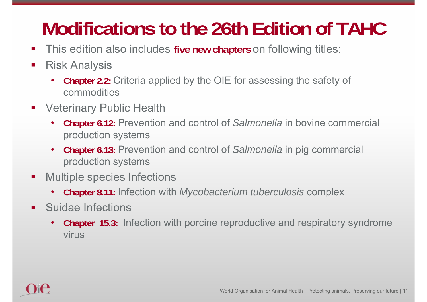# **Modifications to the 26th Edition of TAHC**

- $\mathcal{L}_{\mathcal{A}}$ This edition also includes **five new chapters** on following titles:
- $\mathcal{L}_{\mathcal{A}}$  Risk Analysis
	- • **Chapter 2.2:** Criteria applied by the OIE for assessing the safety of commodities
- Veterinary Public Health
	- • **Chapter 6.12:** Prevention and control of *Salmonella* in bovine commercial production systems
	- • **Chapter 6.13:** Prevention and control of *Salmonella* in pig commercial production systems
- Multiple species Infections
	- •**Chapter 8.11:** Infection with *Mycobacterium tuberculosis* complex
- $\blacksquare$  Suidae Infections
	- • **Chapter 15.3:** Infection with porcine reproductive and respiratory syndrome virus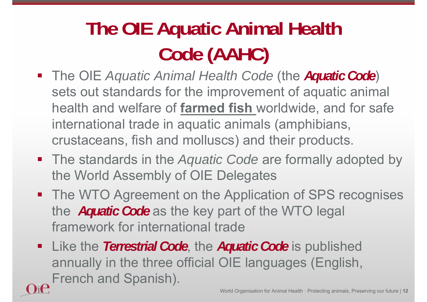# **The OIE Aquatic Animal Health Code (AAHC)**

- The OIE *Aquatic Animal Health Code* (the *Aquatic Code*) sets out standards for the improvement of aquatic animal health and welfare of **farmed fish** worldwide, and for safe international trade in aquatic animals (amphibians, crustaceans, fish and molluscs) and their products.
- **The standards in the Aquatic Code are formally adopted by** the World Assembly of OIE Delegates
- **The WTO Agreement on the Application of SPS recognises** the *Aquatic Code* as the key part of the WTO legal framework for international trade
- **Example 2** Like the *Terrestrial Code*, the *Aquatic Code* is published annually in the three official OIE languages (English, French and Spanish).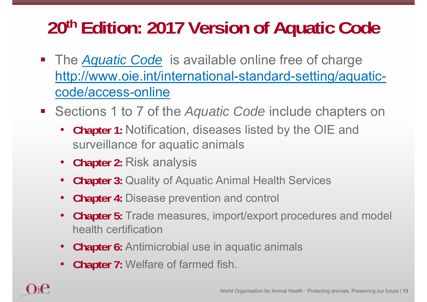## **20th Edition: 2017 Version of Aquatic Code**

- **The** *Aquatic Code* is available online free of charge http://www.oie.int/international-standard-setting/aquaticcode/access-online
- Sections 1 to 7 of the *Aquatic Code* include chapters on
	- **Chapter 1:** Notification, diseases listed by the OIE and surveillance for aquatic animals
	- **Chapter 2:** Risk analysis
	- **Chapter 3:** Quality of Aquatic Animal Health Services
	- **Chapter 4:** Disease prevention and control
	- **Chapter 5:** Trade measures, import/export procedures and model health certification
	- **Chapter 6:** Antimicrobial use in aquatic animals
	- •**Chapter 7:** Welfare of farmed fish.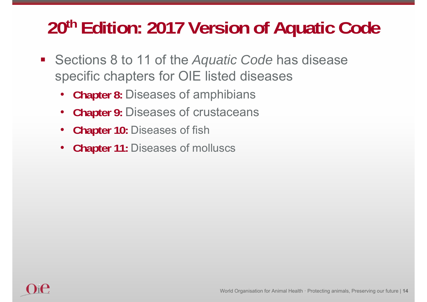## **20th Edition: 2017 Version of Aquatic Code**

- Sections 8 to 11 of the *Aquatic Code* has disease specific chapters for OIE listed diseases
	- **Chapter 8:** Diseases of amphibians
	- •**Chapter 9:** Diseases of crustaceans
	- **Chapter 10:** Diseases of fish
	- **Chapter 11:** Diseases of molluscs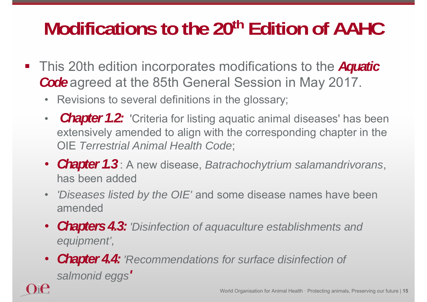## **Modifications to the 20th Edition of AAHC**

- This 20th edition incorporates modifications to the *Aquatic Code* agreed at the 85th General Session in May 2017.
	- $\bullet$ Revisions to several definitions in the glossary;
	- •*Chapter 1.2:* 'Criteria for listing aquatic animal diseases' has been extensively amended to align with the corresponding chapter in the OIE *Terrestrial Animal Health Code*;
	- *Chapter 1.3* : A new disease, *Batrachochytrium salamandrivorans*, has been added
	- $\bullet$  *'Diseases listed by the OIE'* and some disease names have been amended
	- • *Chapters 4.3: 'Disinfection of aquaculture establishments and equipment',*
	- • *Chapter 4.4: 'Recommendations for surface disinfection of salmonid eggs'*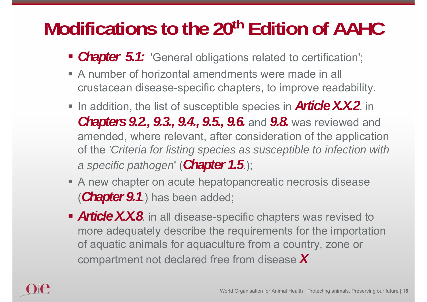## **Modifications to the 20th Edition of AAHC**

- **Chapter 5.1: 'General obligations related to certification';**
- A number of horizontal amendments were made in all crustacean disease-specific chapters, to improve readability.
- In addition, the list of susceptible species in *Article X.X.2*. in *Chapters 9.2., 9.3., 9.4., 9.5., 9.6.* and *9.8.* was reviewed and amended, where relevant, after consideration of the application of the *'Criteria for listing species as susceptible to infection with a specific pathogen*' (*Chapter 1.5*.);
- **A** new chapter on acute hepatopancreatic necrosis disease (*Chapter 9.1*.) has been added;
- **Article X.X.8.** in all disease-specific chapters was revised to more adequately describe the requirements for the importation of aquatic animals for aquaculture from a country, zone or compartment not declared free from disease *X*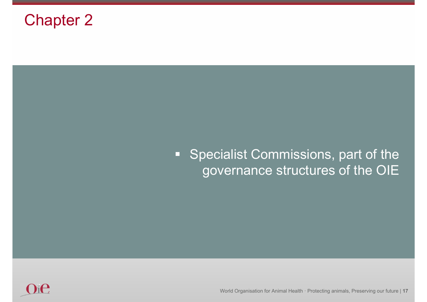#### Chapter 2

#### **Specialist Commissions, part of the** governance structures of the OIE



World Organisation for Animal Health · Protecting animals, Preserving our future | **17**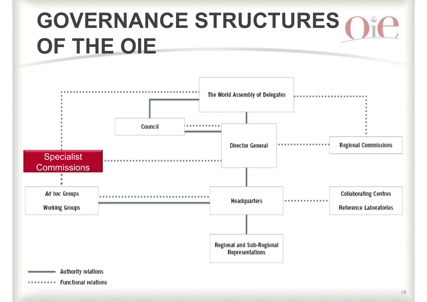### **GOVERNANCE STRUCTURES**   $\Box$ **OF THE OIE**

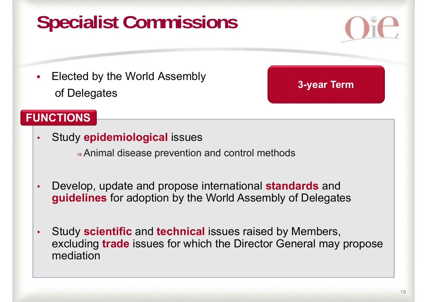

•Study **epidemiological** issues

Animal disease prevention and control methods

- • Develop, update and propose international **standards** and **guidelines** for adoption by the World Assembly of Delegates
- • Study **scientific** and **technical** issues raised by Members, excluding **trade** issues for which the Director General may propose mediation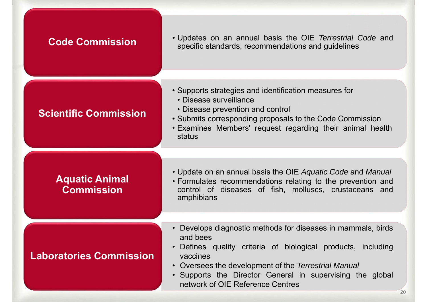| <b>Code Commission</b>                     | • Updates on an annual basis the OIE Terrestrial Code and<br>specific standards, recommendations and guidelines                                                                                                                                                                                                          |
|--------------------------------------------|--------------------------------------------------------------------------------------------------------------------------------------------------------------------------------------------------------------------------------------------------------------------------------------------------------------------------|
| <b>Scientific Commission</b>               | • Supports strategies and identification measures for<br>• Disease surveillance<br>• Disease prevention and control<br>• Submits corresponding proposals to the Code Commission<br>• Examines Members' request regarding their animal health<br>status                                                                   |
| <b>Aquatic Animal</b><br><b>Commission</b> | • Update on an annual basis the OIE Aquatic Code and Manual<br>• Formulates recommendations relating to the prevention and<br>control of diseases of fish, molluscs, crustaceans and<br>amphibians                                                                                                                       |
| <b>Laboratories Commission</b>             | Develops diagnostic methods for diseases in mammals, birds<br>and bees<br>Defines quality criteria of biological products, including<br>vaccines<br>Oversees the development of the Terrestrial Manual<br>Supports the Director General in supervising the global<br>network of OIE Reference Centres<br>20 <sup>2</sup> |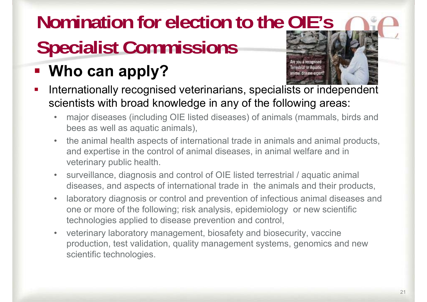# **Nomination for election to the OIE's Specialist Commissions**

## **Who can apply?**



- F Internationally recognised veterinarians, specialists or independent scientists with broad knowledge in any of the following areas:
	- • major diseases (including OIE listed diseases) of animals (mammals, birds and bees as well as aquatic animals),
	- • the animal health aspects of international trade in animals and animal products, and expertise in the control of animal diseases, in animal welfare and in veterinary public health.
	- $\bullet$  surveillance, diagnosis and control of OIE listed terrestrial / aquatic animal diseases, and aspects of international trade in the animals and their products,
	- • laboratory diagnosis or control and prevention of infectious animal diseases and one or more of the following; risk analysis, epidemiology or new scientific technologies applied to disease prevention and control,
	- $\bullet$  veterinary laboratory management, biosafety and biosecurity, vaccine production, test validation, quality management systems, genomics and new scientific technologies.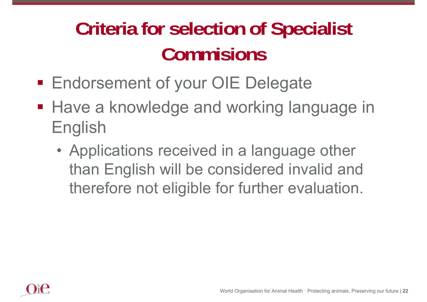# **Criteria for selection of Specialist Commisions**

- **Endorsement of your OIE Delegate**
- **Have a knowledge and working language in** English
	- Applications received in a language other than English will be considered invalid and therefore not eligible for further evaluation.